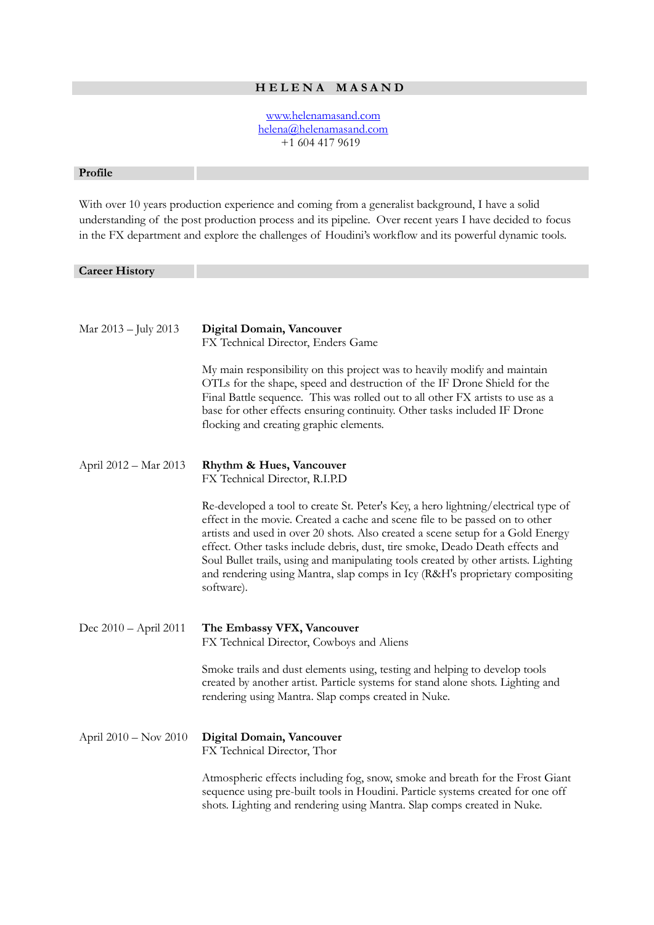# **H E L E N A M A S A N D**

 [www.helenamasand.com](http://www.helenamasand.com/) [helena@helenamasand.com](mailto:helena@helenamasand.com) +1 604 417 9619

### **Profile**

With over 10 years production experience and coming from a generalist background, I have a solid understanding of the post production process and its pipeline. Over recent years I have decided to focus in the FX department and explore the challenges of Houdini's workflow and its powerful dynamic tools.

## **Career History**

| Mar 2013 - July 2013    | Digital Domain, Vancouver<br>FX Technical Director, Enders Game<br>My main responsibility on this project was to heavily modify and maintain<br>OTLs for the shape, speed and destruction of the IF Drone Shield for the<br>Final Battle sequence. This was rolled out to all other FX artists to use as a<br>base for other effects ensuring continuity. Other tasks included IF Drone                                                                                                                                     |
|-------------------------|-----------------------------------------------------------------------------------------------------------------------------------------------------------------------------------------------------------------------------------------------------------------------------------------------------------------------------------------------------------------------------------------------------------------------------------------------------------------------------------------------------------------------------|
| April 2012 - Mar 2013   | flocking and creating graphic elements.<br>Rhythm & Hues, Vancouver                                                                                                                                                                                                                                                                                                                                                                                                                                                         |
|                         | FX Technical Director, R.I.P.D                                                                                                                                                                                                                                                                                                                                                                                                                                                                                              |
|                         | Re-developed a tool to create St. Peter's Key, a hero lightning/electrical type of<br>effect in the movie. Created a cache and scene file to be passed on to other<br>artists and used in over 20 shots. Also created a scene setup for a Gold Energy<br>effect. Other tasks include debris, dust, tire smoke, Deado Death effects and<br>Soul Bullet trails, using and manipulating tools created by other artists. Lighting<br>and rendering using Mantra, slap comps in Icy (R&H's proprietary compositing<br>software). |
| Dec $2010 - April 2011$ | The Embassy VFX, Vancouver<br>FX Technical Director, Cowboys and Aliens                                                                                                                                                                                                                                                                                                                                                                                                                                                     |
|                         | Smoke trails and dust elements using, testing and helping to develop tools<br>created by another artist. Particle systems for stand alone shots. Lighting and<br>rendering using Mantra. Slap comps created in Nuke.                                                                                                                                                                                                                                                                                                        |
| April $2010 - Nov 2010$ | Digital Domain, Vancouver<br>FX Technical Director, Thor                                                                                                                                                                                                                                                                                                                                                                                                                                                                    |
|                         | Atmospheric effects including fog, snow, smoke and breath for the Frost Giant<br>sequence using pre-built tools in Houdini. Particle systems created for one off<br>shots. Lighting and rendering using Mantra. Slap comps created in Nuke.                                                                                                                                                                                                                                                                                 |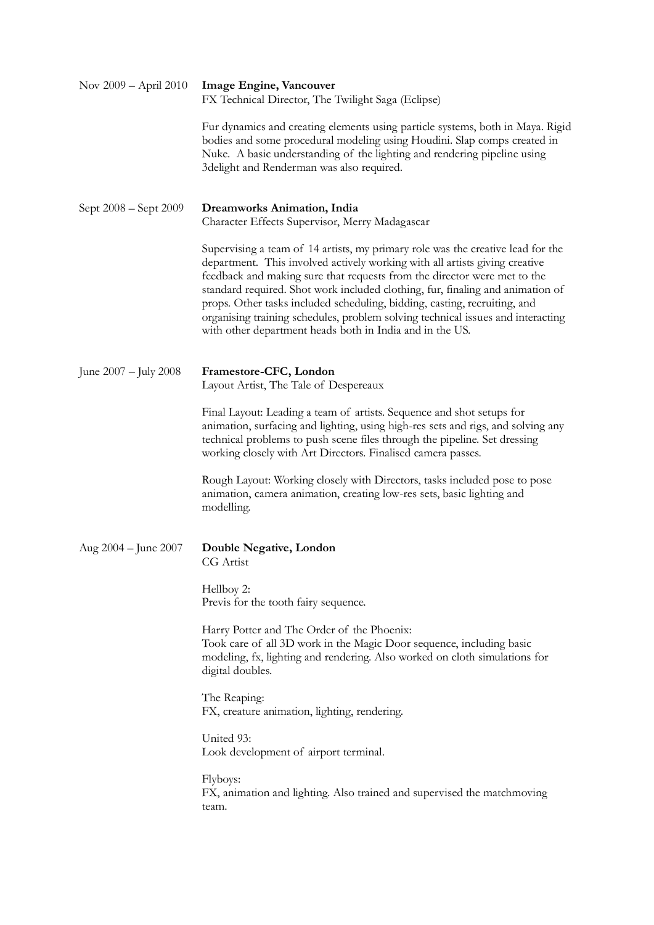| Nov 2009 – April 2010    | <b>Image Engine, Vancouver</b><br>FX Technical Director, The Twilight Saga (Eclipse)                                                                                                                                                                                                                                                                                                                                                                                                                                                                     |
|--------------------------|----------------------------------------------------------------------------------------------------------------------------------------------------------------------------------------------------------------------------------------------------------------------------------------------------------------------------------------------------------------------------------------------------------------------------------------------------------------------------------------------------------------------------------------------------------|
|                          | Fur dynamics and creating elements using particle systems, both in Maya. Rigid<br>bodies and some procedural modeling using Houdini. Slap comps created in<br>Nuke. A basic understanding of the lighting and rendering pipeline using<br>3delight and Renderman was also required.                                                                                                                                                                                                                                                                      |
| Sept 2008 – Sept 2009    | <b>Dreamworks Animation, India</b><br>Character Effects Supervisor, Merry Madagascar                                                                                                                                                                                                                                                                                                                                                                                                                                                                     |
|                          | Supervising a team of 14 artists, my primary role was the creative lead for the<br>department. This involved actively working with all artists giving creative<br>feedback and making sure that requests from the director were met to the<br>standard required. Shot work included clothing, fur, finaling and animation of<br>props. Other tasks included scheduling, bidding, casting, recruiting, and<br>organising training schedules, problem solving technical issues and interacting<br>with other department heads both in India and in the US. |
| June 2007 – July 2008    | Framestore-CFC, London<br>Layout Artist, The Tale of Despereaux                                                                                                                                                                                                                                                                                                                                                                                                                                                                                          |
|                          | Final Layout: Leading a team of artists. Sequence and shot setups for<br>animation, surfacing and lighting, using high-res sets and rigs, and solving any<br>technical problems to push scene files through the pipeline. Set dressing<br>working closely with Art Directors. Finalised camera passes.                                                                                                                                                                                                                                                   |
|                          | Rough Layout: Working closely with Directors, tasks included pose to pose<br>animation, camera animation, creating low-res sets, basic lighting and<br>modelling.                                                                                                                                                                                                                                                                                                                                                                                        |
| Aug $2004 -$ June $2007$ | Double Negative, London<br>CG Artist                                                                                                                                                                                                                                                                                                                                                                                                                                                                                                                     |
|                          | Hellboy 2:<br>Previs for the tooth fairy sequence.                                                                                                                                                                                                                                                                                                                                                                                                                                                                                                       |
|                          | Harry Potter and The Order of the Phoenix:<br>Took care of all 3D work in the Magic Door sequence, including basic<br>modeling, fx, lighting and rendering. Also worked on cloth simulations for<br>digital doubles.                                                                                                                                                                                                                                                                                                                                     |
|                          | The Reaping:<br>FX, creature animation, lighting, rendering.                                                                                                                                                                                                                                                                                                                                                                                                                                                                                             |
|                          | United 93:<br>Look development of airport terminal.                                                                                                                                                                                                                                                                                                                                                                                                                                                                                                      |
|                          | Flyboys:<br>FX, animation and lighting. Also trained and supervised the matchmoving<br>team.                                                                                                                                                                                                                                                                                                                                                                                                                                                             |